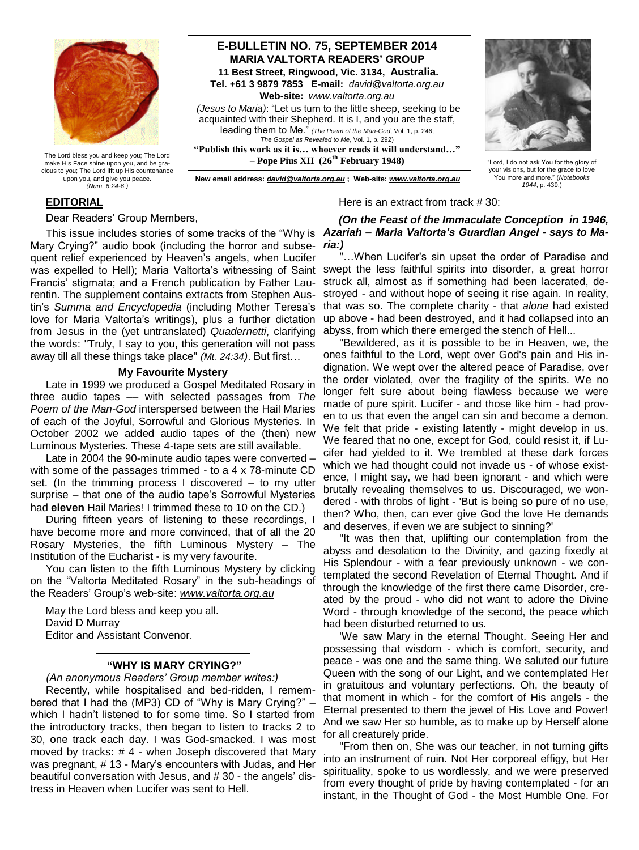

The Lord bless you and keep you; The Lord make His Face shine upon you, and be gracious to you; The Lord lift up His countenance upon you, and give you peace. *(Num. 6:24-6.)*

# **E-BULLETIN NO. 75, SEPTEMBER 2014 MARIA VALTORTA READERS' GROUP 11 Best Street, Ringwood, Vic. 3134, Australia. Tel. +61 3 9879 7853 E-mail:** *david@valtorta.org.au* **Web-site:** *www.valtorta.org.au (Jesus to Maria)*: "Let us turn to the little sheep, seeking to be acquainted with their Shepherd. It is I, and you are the staff, leading them to Me." *(The Poem of the Man-God*, Vol. 1, p. 246; *The Gospel as Revealed to Me*, Vol. 1, p. 292) **"Publish this work as it is… whoever reads it will understand…" – Pope Pius XII (26th February 1948)**

"Lord, I do not ask You for the glory of your visions, but for the grace to love

 **New email address:** *[david@valtorta.org.au](mailto:david@valtorta.org.au)* **; Web-site:** *[www.valtorta.org.au](http://www.valtorta.org.au/)*

You more and more." (*Notebooks 1944*, p. 439.)

# **EDITORIAL**

Dear Readers' Group Members,

Mary Crying?" audio book (including the horror and subse-*ria:)* quent relief experienced by Heaven's angels, when Lucifer Francis' stigmata; and a French publication by Father Laurentin. The supplement contains extracts from Stephen Austin's *Summa and Encyclopedia* (including Mother Teresa's love for Maria Valtorta's writings), plus a further dictation from Jesus in the (yet untranslated) *Quadernetti*, clarifying the words: "Truly, I say to you, this generation will not pass away till all these things take place" *(Mt. 24:34)*. But first…

# **My Favourite Mystery**

Late in 1999 we produced a Gospel Meditated Rosary in three audio tapes –– with selected passages from *The Poem of the Man-God* interspersed between the Hail Maries of each of the Joyful, Sorrowful and Glorious Mysteries. In October 2002 we added audio tapes of the (then) new Luminous Mysteries. These 4-tape sets are still available.

Late in 2004 the 90-minute audio tapes were converted – with some of the passages trimmed - to a 4 x 78-minute CD set. (In the trimming process I discovered – to my utter surprise – that one of the audio tape's Sorrowful Mysteries had **eleven** Hail Maries! I trimmed these to 10 on the CD.)

During fifteen years of listening to these recordings, I have become more and more convinced, that of all the 20 Rosary Mysteries, the fifth Luminous Mystery – The Institution of the Eucharist - is my very favourite.

You can listen to the fifth Luminous Mystery by clicking on the "Valtorta Meditated Rosary" in the sub-headings of the Readers' Group's web-site: *www.valtorta.org.au*

May the Lord bless and keep you all. David D Murray Editor and Assistant Convenor.

# **"WHY IS MARY CRYING?"**

# *(An anonymous Readers' Group member writes:)*

Recently, while hospitalised and bed-ridden, I remembered that I had the (MP3) CD of "Why is Mary Crying?" – which I hadn't listened to for some time. So I started from the introductory tracks, then began to listen to tracks 2 to 30, one track each day. I was God-smacked. I was most moved by tracks**:** # 4 - when Joseph discovered that Mary was pregnant, # 13 - Mary's encounters with Judas, and Her beautiful conversation with Jesus, and # 30 - the angels' distress in Heaven when Lucifer was sent to Hell.

# This issue includes stories of some tracks of the "Why is *Azariah – Maria Valtorta's Guardian Angel - says to Ma-(On the Feast of the Immaculate Conception in 1946,*

Here is an extract from track # 30:

was expelled to Hell); Maria Valtorta's witnessing of Saint swept the less faithful spirits into disorder, a great horror ... When Lucifer's sin upset the order of Paradise and struck all, almost as if something had been lacerated, destroyed - and without hope of seeing it rise again. In reality, that was so. The complete charity - that *alone* had existed up above - had been destroyed, and it had collapsed into an abyss, from which there emerged the stench of Hell...

> "Bewildered, as it is possible to be in Heaven, we, the ones faithful to the Lord, wept over God's pain and His indignation. We wept over the altered peace of Paradise, over the order violated, over the fragility of the spirits. We no longer felt sure about being flawless because we were made of pure spirit. Lucifer - and those like him - had proven to us that even the angel can sin and become a demon. We felt that pride - existing latently - might develop in us. We feared that no one, except for God, could resist it, if Lucifer had yielded to it. We trembled at these dark forces which we had thought could not invade us - of whose existence, I might say, we had been ignorant - and which were brutally revealing themselves to us. Discouraged, we wondered - with throbs of light - 'But is being so pure of no use, then? Who, then, can ever give God the love He demands and deserves, if even we are subject to sinning?'

> "It was then that, uplifting our contemplation from the abyss and desolation to the Divinity, and gazing fixedly at His Splendour - with a fear previously unknown - we contemplated the second Revelation of Eternal Thought. And if through the knowledge of the first there came Disorder, created by the proud - who did not want to adore the Divine Word - through knowledge of the second, the peace which had been disturbed returned to us.

> 'We saw Mary in the eternal Thought. Seeing Her and possessing that wisdom - which is comfort, security, and peace - was one and the same thing. We saluted our future Queen with the song of our Light, and we contemplated Her in gratuitous and voluntary perfections. Oh, the beauty of that moment in which - for the comfort of His angels - the Eternal presented to them the jewel of His Love and Power! And we saw Her so humble, as to make up by Herself alone for all creaturely pride.

> "From then on, She was our teacher, in not turning gifts into an instrument of ruin. Not Her corporeal effigy, but Her spirituality, spoke to us wordlessly, and we were preserved from every thought of pride by having contemplated - for an instant, in the Thought of God - the Most Humble One. For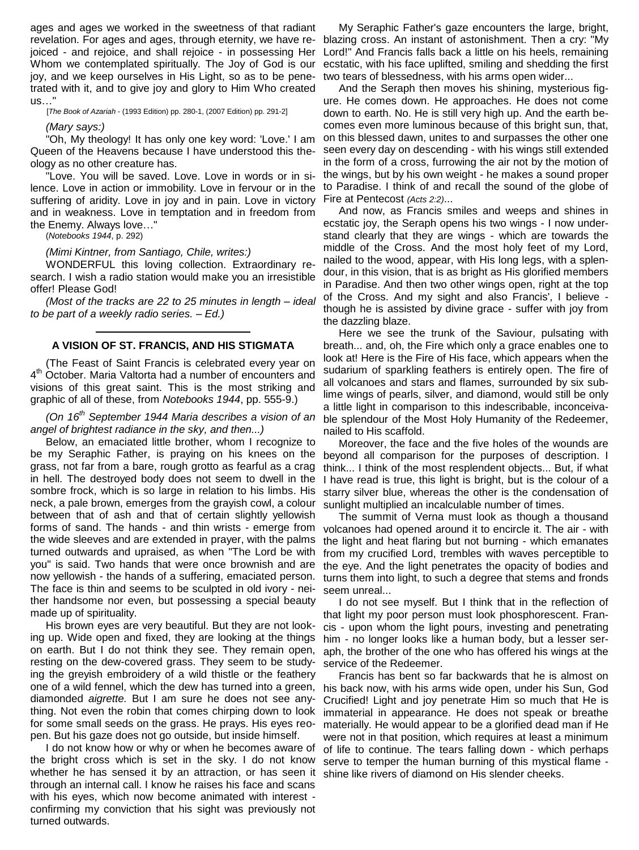ages and ages we worked in the sweetness of that radiant revelation. For ages and ages, through eternity, we have re-blazing cross. An instant of astonishment. Then a cry: "My joiced - and rejoice, and shall rejoice - in possessing Her Lord!" And Francis falls back a little on his heels, remaining Whom we contemplated spiritually. The Joy of God is our joy, and we keep ourselves in His Light, so as to be penetrated with it, and to give joy and glory to Him Who created us…"

[*The Book of Azariah* - (1993 Edition) pp. 280-1, (2007 Edition) pp. 291-2]

*(Mary says:)*

"Oh, My theology! It has only one key word: 'Love.' I am Queen of the Heavens because I have understood this theology as no other creature has.

"Love. You will be saved. Love. Love in words or in silence. Love in action or immobility. Love in fervour or in the suffering of aridity. Love in joy and in pain. Love in victory and in weakness. Love in temptation and in freedom from the Enemy. Always love…"

(*Notebooks 1944*, p. 292)

#### *(Mimi Kintner, from Santiago, Chile, writes:)*

WONDERFUL this loving collection. Extraordinary research. I wish a radio station would make you an irresistible offer! Please God!

*(Most of the tracks are 22 to 25 minutes in length – ideal to be part of a weekly radio series. – Ed.)*

#### **A VISION OF ST. FRANCIS, AND HIS STIGMATA**

(The Feast of Saint Francis is celebrated every year on 4<sup>th</sup> October. Maria Valtorta had a number of encounters and visions of this great saint. This is the most striking and graphic of all of these, from *Notebooks 1944*, pp. 555-9.)

*(On 16th September 1944 Maria describes a vision of an angel of brightest radiance in the sky, and then...)*

Below, an emaciated little brother, whom I recognize to be my Seraphic Father, is praying on his knees on the grass, not far from a bare, rough grotto as fearful as a crag in hell. The destroyed body does not seem to dwell in the sombre frock, which is so large in relation to his limbs. His neck, a pale brown, emerges from the grayish cowl, a colour between that of ash and that of certain slightly yellowish forms of sand. The hands - and thin wrists - emerge from the wide sleeves and are extended in prayer, with the palms turned outwards and upraised, as when "The Lord be with you" is said. Two hands that were once brownish and are now yellowish - the hands of a suffering, emaciated person. The face is thin and seems to be sculpted in old ivory - neither handsome nor even, but possessing a special beauty made up of spirituality.

His brown eyes are very beautiful. But they are not looking up. Wide open and fixed, they are looking at the things on earth. But I do not think they see. They remain open, resting on the dew-covered grass. They seem to be studying the greyish embroidery of a wild thistle or the feathery one of a wild fennel, which the dew has turned into a green, diamonded *aigrette.* But I am sure he does not see anything. Not even the robin that comes chirping down to look for some small seeds on the grass. He prays. His eyes reopen. But his gaze does not go outside, but inside himself.

I do not know how or why or when he becomes aware of the bright cross which is set in the sky. I do not know whether he has sensed it by an attraction, or has seen it through an internal call. I know he raises his face and scans with his eyes, which now become animated with interest confirming my conviction that his sight was previously not turned outwards.

My Seraphic Father's gaze encounters the large, bright, ecstatic, with his face uplifted, smiling and shedding the first two tears of blessedness, with his arms open wider...

And the Seraph then moves his shining, mysterious figure. He comes down. He approaches. He does not come down to earth. No. He is still very high up. And the earth becomes even more luminous because of this bright sun, that, on this blessed dawn, unites to and surpasses the other one seen every day on descending - with his wings still extended in the form of a cross, furrowing the air not by the motion of the wings, but by his own weight - he makes a sound proper to Paradise. I think of and recall the sound of the globe of Fire at Pentecost *(Acts 2:2)*...

And now, as Francis smiles and weeps and shines in ecstatic joy, the Seraph opens his two wings - I now understand clearly that they are wings - which are towards the middle of the Cross. And the most holy feet of my Lord, nailed to the wood, appear, with His long legs, with a splendour, in this vision, that is as bright as His glorified members in Paradise. And then two other wings open, right at the top of the Cross. And my sight and also Francis', I believe though he is assisted by divine grace - suffer with joy from the dazzling blaze.

Here we see the trunk of the Saviour, pulsating with breath... and, oh, the Fire which only a grace enables one to look at! Here is the Fire of His face, which appears when the sudarium of sparkling feathers is entirely open. The fire of all volcanoes and stars and flames, surrounded by six sublime wings of pearls, silver, and diamond, would still be only a little light in comparison to this indescribable, inconceivable splendour of the Most Holy Humanity of the Redeemer, nailed to His scaffold.

Moreover, the face and the five holes of the wounds are beyond all comparison for the purposes of description. I think... I think of the most resplendent objects... But, if what I have read is true, this light is bright, but is the colour of a starry silver blue, whereas the other is the condensation of sunlight multiplied an incalculable number of times.

The summit of Verna must look as though a thousand volcanoes had opened around it to encircle it. The air - with the light and heat flaring but not burning - which emanates from my crucified Lord, trembles with waves perceptible to the eye. And the light penetrates the opacity of bodies and turns them into light, to such a degree that stems and fronds seem unreal...

I do not see myself. But I think that in the reflection of that light my poor person must look phosphorescent. Francis - upon whom the light pours, investing and penetrating him - no longer looks like a human body, but a lesser seraph, the brother of the one who has offered his wings at the service of the Redeemer.

Francis has bent so far backwards that he is almost on his back now, with his arms wide open, under his Sun, God Crucified! Light and joy penetrate Him so much that He is immaterial in appearance. He does not speak or breathe materially. He would appear to be a glorified dead man if He were not in that position, which requires at least a minimum of life to continue. The tears falling down - which perhaps serve to temper the human burning of this mystical flame shine like rivers of diamond on His slender cheeks.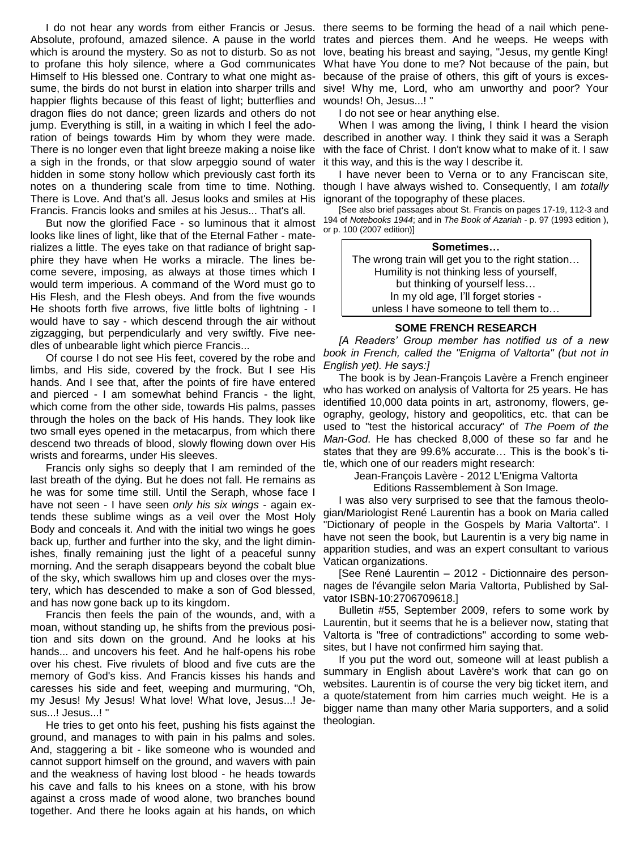Absolute, profound, amazed silence. A pause in the world which is around the mystery. So as not to disturb. So as not to profane this holy silence, where a God communicates Himself to His blessed one. Contrary to what one might assume, the birds do not burst in elation into sharper trills and happier flights because of this feast of light; butterflies and dragon flies do not dance; green lizards and others do not jump. Everything is still, in a waiting in which I feel the adoration of beings towards Him by whom they were made. There is no longer even that light breeze making a noise like a sigh in the fronds, or that slow arpeggio sound of water hidden in some stony hollow which previously cast forth its notes on a thundering scale from time to time. Nothing. There is Love. And that's all. Jesus looks and smiles at His Francis. Francis looks and smiles at his Jesus... That's all.

But now the glorified Face - so luminous that it almost looks like lines of light, like that of the Eternal Father - materializes a little. The eyes take on that radiance of bright sapphire they have when He works a miracle. The lines become severe, imposing, as always at those times which I would term imperious. A command of the Word must go to His Flesh, and the Flesh obeys. And from the five wounds He shoots forth five arrows, five little bolts of lightning - I would have to say - which descend through the air without zigzagging, but perpendicularly and very swiftly. Five needles of unbearable light which pierce Francis...

Of course I do not see His feet, covered by the robe and limbs, and His side, covered by the frock. But I see His hands. And I see that, after the points of fire have entered and pierced - I am somewhat behind Francis - the light, which come from the other side, towards His palms, passes through the holes on the back of His hands. They look like two small eyes opened in the metacarpus, from which there descend two threads of blood, slowly flowing down over His wrists and forearms, under His sleeves.

Francis only sighs so deeply that I am reminded of the last breath of the dying. But he does not fall. He remains as he was for some time still. Until the Seraph, whose face I have not seen - I have seen *only his six wings* - again extends these sublime wings as a veil over the Most Holy Body and conceals it. And with the initial two wings he goes back up, further and further into the sky, and the light diminishes, finally remaining just the light of a peaceful sunny morning. And the seraph disappears beyond the cobalt blue of the sky, which swallows him up and closes over the mystery, which has descended to make a son of God blessed, and has now gone back up to its kingdom.

Francis then feels the pain of the wounds, and, with a moan, without standing up, he shifts from the previous position and sits down on the ground. And he looks at his hands... and uncovers his feet. And he half-opens his robe over his chest. Five rivulets of blood and five cuts are the memory of God's kiss. And Francis kisses his hands and caresses his side and feet, weeping and murmuring, "Oh, my Jesus! My Jesus! What love! What love, Jesus...! Jesus...! Jesus...! "

He tries to get onto his feet, pushing his fists against the ground, and manages to with pain in his palms and soles. And, staggering a bit - like someone who is wounded and cannot support himself on the ground, and wavers with pain and the weakness of having lost blood - he heads towards his cave and falls to his knees on a stone, with his brow against a cross made of wood alone, two branches bound together. And there he looks again at his hands, on which

I do not hear any words from either Francis or Jesus. there seems to be forming the head of a nail which penetrates and pierces them. And he weeps. He weeps with love, beating his breast and saying, "Jesus, my gentle King! What have You done to me? Not because of the pain, but because of the praise of others, this gift of yours is excessive! Why me, Lord, who am unworthy and poor? Your wounds! Oh, Jesus...!

I do not see or hear anything else.

When I was among the living, I think I heard the vision described in another way. I think they said it was a Seraph with the face of Christ. I don't know what to make of it. I saw it this way, and this is the way I describe it.

I have never been to Verna or to any Franciscan site, though I have always wished to. Consequently, I am *totally* ignorant of the topography of these places.

[See also brief passages about St. Francis on pages 17-19, 112-3 and 194 of *Notebooks 1944*; and in *The Book of Azariah -* p. 97 (1993 edition ), or p. 100 (2007 edition)]

| Sometimes                                         |
|---------------------------------------------------|
| The wrong train will get you to the right station |
| Humility is not thinking less of yourself,        |
| but thinking of yourself less                     |
| In my old age, I'll forget stories -              |
| unless I have someone to tell them to             |

# **SOME FRENCH RESEARCH**

*[A Readers' Group member has notified us of a new book in French, called the "Enigma of Valtorta" (but not in English yet). He says:]*

The book is by Jean-François Lavère a French engineer who has worked on analysis of Valtorta for 25 years. He has identified 10,000 data points in art, astronomy, flowers, geography, geology, history and geopolitics, etc. that can be used to "test the historical accuracy" of *The Poem of the Man-God*. He has checked 8,000 of these so far and he states that they are 99.6% accurate… This is the book's title, which one of our readers might research:

> Jean-François Lavère - 2012 L'Enigma Valtorta Editions Rassemblement à Son Image.

I was also very surprised to see that the famous theologian/Mariologist René Laurentin has a book on Maria called "Dictionary of people in the Gospels by Maria Valtorta". I have not seen the book, but Laurentin is a very big name in apparition studies, and was an expert consultant to various Vatican organizations.

[See René Laurentin – 2012 - Dictionnaire des personnages de l'évangile selon Maria Valtorta, Published by Salvator ISBN-10:2706709618.]

Bulletin #55, September 2009, refers to some work by Laurentin, but it seems that he is a believer now, stating that Valtorta is "free of contradictions" according to some websites, but I have not confirmed him saying that.

If you put the word out, someone will at least publish a summary in English about Lavère's work that can go on websites. Laurentin is of course the very big ticket item, and a quote/statement from him carries much weight. He is a bigger name than many other Maria supporters, and a solid theologian.